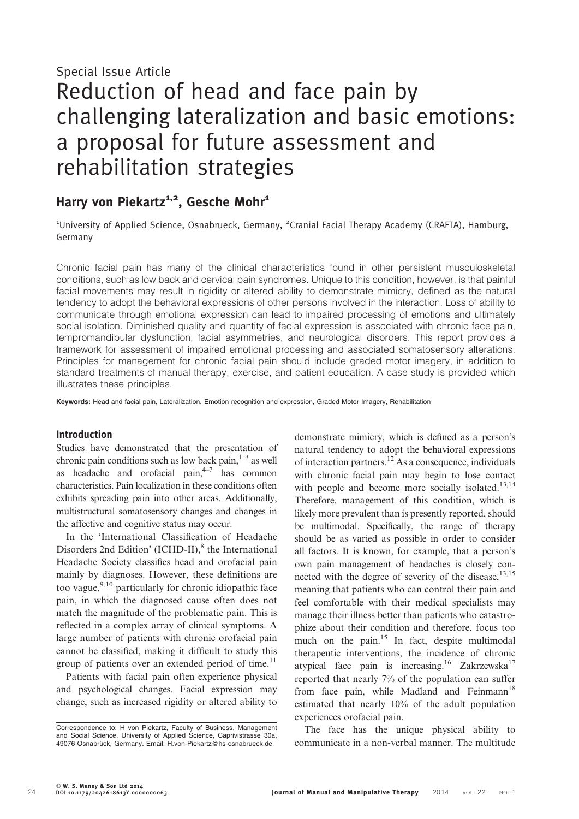# Special Issue Article Reduction of head and face pain by challenging lateralization and basic emotions: a proposal for future assessment and rehabilitation strategies

# Harry von Piekartz<sup>1,2</sup>, Gesche Mohr<sup>1</sup>

<sup>1</sup>University of Applied Science, Osnabrueck, Germany, <sup>2</sup>Cranial Facial Therapy Academy (CRAFTA), Hamburg, Germany

Chronic facial pain has many of the clinical characteristics found in other persistent musculoskeletal conditions, such as low back and cervical pain syndromes. Unique to this condition, however, is that painful facial movements may result in rigidity or altered ability to demonstrate mimicry, defined as the natural tendency to adopt the behavioral expressions of other persons involved in the interaction. Loss of ability to communicate through emotional expression can lead to impaired processing of emotions and ultimately social isolation. Diminished quality and quantity of facial expression is associated with chronic face pain, tempromandibular dysfunction, facial asymmetries, and neurological disorders. This report provides a framework for assessment of impaired emotional processing and associated somatosensory alterations. Principles for management for chronic facial pain should include graded motor imagery, in addition to standard treatments of manual therapy, exercise, and patient education. A case study is provided which illustrates these principles.

Keywords: Head and facial pain, Lateralization, Emotion recognition and expression, Graded Motor Imagery, Rehabilitation

#### Introduction

Studies have demonstrated that the presentation of chronic pain conditions such as low back pain, $1-3$  as well as headache and orofacial pain, $4-7$  has common characteristics. Pain localization in these conditions often exhibits spreading pain into other areas. Additionally, multistructural somatosensory changes and changes in the affective and cognitive status may occur.

In the 'International Classification of Headache Disorders 2nd Edition'  $\text{ICHD-II}\xspace$ <sup>8</sup> the International Headache Society classifies head and orofacial pain mainly by diagnoses. However, these definitions are too vague,  $9,10$  particularly for chronic idiopathic face pain, in which the diagnosed cause often does not match the magnitude of the problematic pain. This is reflected in a complex array of clinical symptoms. A large number of patients with chronic orofacial pain cannot be classified, making it difficult to study this group of patients over an extended period of time.<sup>11</sup>

Patients with facial pain often experience physical and psychological changes. Facial expression may change, such as increased rigidity or altered ability to

demonstrate mimicry, which is defined as a person's natural tendency to adopt the behavioral expressions of interaction partners.<sup>12</sup> As a consequence, individuals with chronic facial pain may begin to lose contact with people and become more socially isolated.<sup>13,14</sup> Therefore, management of this condition, which is likely more prevalent than is presently reported, should be multimodal. Specifically, the range of therapy should be as varied as possible in order to consider all factors. It is known, for example, that a person's own pain management of headaches is closely connected with the degree of severity of the disease,  $13,15$ meaning that patients who can control their pain and feel comfortable with their medical specialists may manage their illness better than patients who catastrophize about their condition and therefore, focus too much on the pain. $15$  In fact, despite multimodal therapeutic interventions, the incidence of chronic atypical face pain is increasing.<sup>16</sup> Zakrzewska<sup>17</sup> reported that nearly 7% of the population can suffer from face pain, while Madland and Feinmann<sup>18</sup> estimated that nearly 10% of the adult population experiences orofacial pain.

The face has the unique physical ability to communicate in a non-verbal manner. The multitude

Correspondence to: H von Piekartz, Faculty of Business, Management and Social Science, University of Applied Science, Caprivistrasse 30a, 49076 Osnabrück, Germany. Email: H.von-Piekartz@hs-osnabrueck.de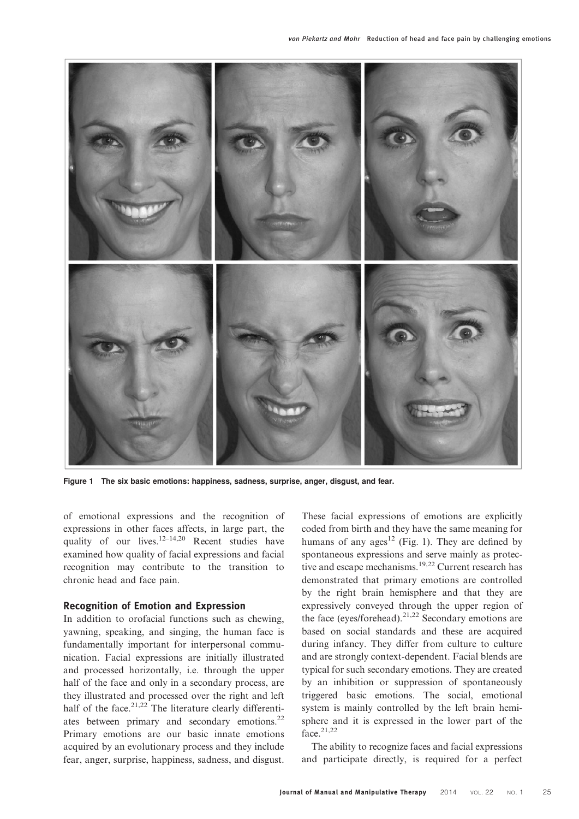

Figure 1 The six basic emotions: happiness, sadness, surprise, anger, disgust, and fear.

of emotional expressions and the recognition of expressions in other faces affects, in large part, the quality of our lives.<sup>12–14,20</sup> Recent studies have examined how quality of facial expressions and facial recognition may contribute to the transition to chronic head and face pain.

### Recognition of Emotion and Expression

In addition to orofacial functions such as chewing, yawning, speaking, and singing, the human face is fundamentally important for interpersonal communication. Facial expressions are initially illustrated and processed horizontally, i.e. through the upper half of the face and only in a secondary process, are they illustrated and processed over the right and left half of the face.<sup>21,22</sup> The literature clearly differentiates between primary and secondary emotions.<sup>22</sup> Primary emotions are our basic innate emotions acquired by an evolutionary process and they include fear, anger, surprise, happiness, sadness, and disgust. These facial expressions of emotions are explicitly coded from birth and they have the same meaning for humans of any ages<sup>12</sup> (Fig. 1). They are defined by spontaneous expressions and serve mainly as protective and escape mechanisms.<sup>19,22</sup> Current research has demonstrated that primary emotions are controlled by the right brain hemisphere and that they are expressively conveyed through the upper region of the face (eyes/forehead). $21,22$  Secondary emotions are based on social standards and these are acquired during infancy. They differ from culture to culture and are strongly context-dependent. Facial blends are typical for such secondary emotions. They are created by an inhibition or suppression of spontaneously triggered basic emotions. The social, emotional system is mainly controlled by the left brain hemisphere and it is expressed in the lower part of the face  $^{21,22}$ 

The ability to recognize faces and facial expressions and participate directly, is required for a perfect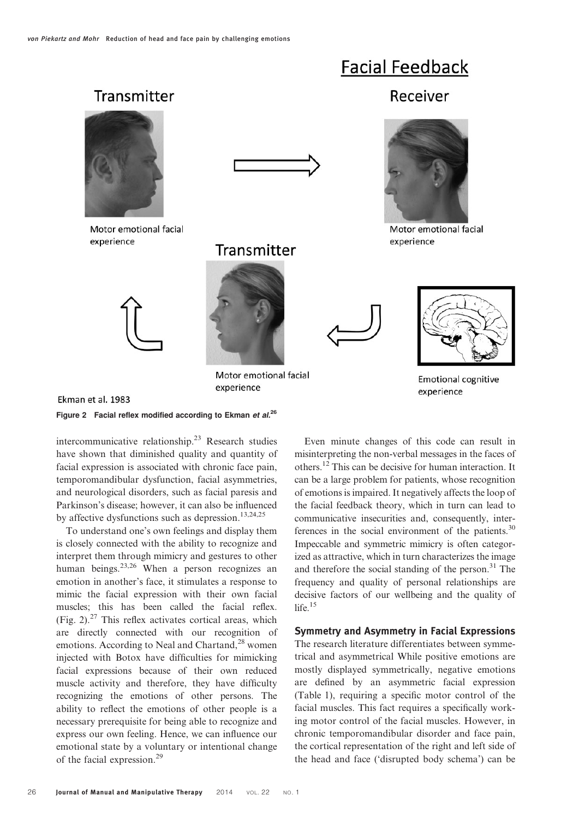

Figure 2 Facial reflex modified according to Ekman et  $al^{26}$ 

intercommunicative relationship.23 Research studies have shown that diminished quality and quantity of facial expression is associated with chronic face pain, temporomandibular dysfunction, facial asymmetries, and neurological disorders, such as facial paresis and Parkinson's disease; however, it can also be influenced by affective dysfunctions such as depression.<sup>13,24,25</sup>

To understand one's own feelings and display them is closely connected with the ability to recognize and interpret them through mimicry and gestures to other human beings. $23,26$  When a person recognizes an emotion in another's face, it stimulates a response to mimic the facial expression with their own facial muscles; this has been called the facial reflex. (Fig. 2). $27$  This reflex activates cortical areas, which are directly connected with our recognition of emotions. According to Neal and Chartand, $^{28}$  women injected with Botox have difficulties for mimicking facial expressions because of their own reduced muscle activity and therefore, they have difficulty recognizing the emotions of other persons. The ability to reflect the emotions of other people is a necessary prerequisite for being able to recognize and express our own feeling. Hence, we can influence our emotional state by a voluntary or intentional change of the facial expression.<sup>29</sup>

Even minute changes of this code can result in misinterpreting the non-verbal messages in the faces of others.12 This can be decisive for human interaction. It can be a large problem for patients, whose recognition of emotions is impaired. It negatively affects the loop of the facial feedback theory, which in turn can lead to communicative insecurities and, consequently, interferences in the social environment of the patients. $30$ Impeccable and symmetric mimicry is often categorized as attractive, which in turn characterizes the image and therefore the social standing of the person.<sup>31</sup> The frequency and quality of personal relationships are decisive factors of our wellbeing and the quality of life. $15$ 

# Symmetry and Asymmetry in Facial Expressions

The research literature differentiates between symmetrical and asymmetrical While positive emotions are mostly displayed symmetrically, negative emotions are defined by an asymmetric facial expression (Table 1), requiring a specific motor control of the facial muscles. This fact requires a specifically working motor control of the facial muscles. However, in chronic temporomandibular disorder and face pain, the cortical representation of the right and left side of the head and face ('disrupted body schema') can be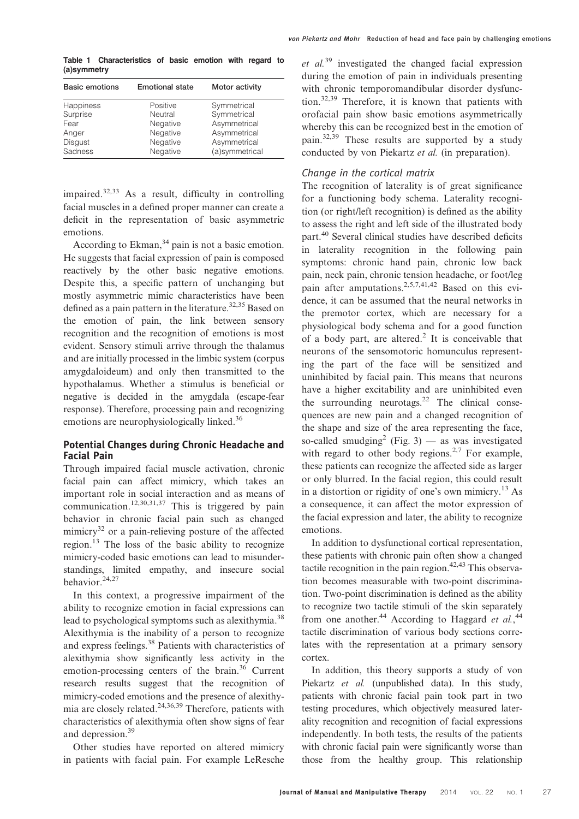Table 1 Characteristics of basic emotion with regard to (a)symmetry

| <b>Basic emotions</b> | <b>Emotional state</b> | Motor activity |
|-----------------------|------------------------|----------------|
| Happiness             | Positive               | Symmetrical    |
| Surprise              | Neutral                | Symmetrical    |
| Fear                  | Negative               | Asymmetrical   |
| Anger                 | Negative               | Asymmetrical   |
| <b>Disgust</b>        | Negative               | Asymmetrical   |
| Sadness               | Negative               | (a)symmetrical |

impaired. $32,33$  As a result, difficulty in controlling facial muscles in a defined proper manner can create a deficit in the representation of basic asymmetric emotions.

According to Ekman,  $34$  pain is not a basic emotion. He suggests that facial expression of pain is composed reactively by the other basic negative emotions. Despite this, a specific pattern of unchanging but mostly asymmetric mimic characteristics have been defined as a pain pattern in the literature.<sup>32,35</sup> Based on the emotion of pain, the link between sensory recognition and the recognition of emotions is most evident. Sensory stimuli arrive through the thalamus and are initially processed in the limbic system (corpus amygdaloideum) and only then transmitted to the hypothalamus. Whether a stimulus is beneficial or negative is decided in the amygdala (escape-fear response). Therefore, processing pain and recognizing emotions are neurophysiologically linked.<sup>36</sup>

# Potential Changes during Chronic Headache and Facial Pain

Through impaired facial muscle activation, chronic facial pain can affect mimicry, which takes an important role in social interaction and as means of communication.<sup>12,30,31,37</sup> This is triggered by pain behavior in chronic facial pain such as changed mimicry<sup>32</sup> or a pain-relieving posture of the affected region.<sup>13</sup> The loss of the basic ability to recognize mimicry-coded basic emotions can lead to misunderstandings, limited empathy, and insecure social behavior.24,27

In this context, a progressive impairment of the ability to recognize emotion in facial expressions can lead to psychological symptoms such as alexithymia.<sup>38</sup> Alexithymia is the inability of a person to recognize and express feelings.38 Patients with characteristics of alexithymia show significantly less activity in the emotion-processing centers of the brain.<sup>36</sup> Current research results suggest that the recognition of mimicry-coded emotions and the presence of alexithymia are closely related.<sup>24,36,39</sup> Therefore, patients with characteristics of alexithymia often show signs of fear and depression.39

Other studies have reported on altered mimicry in patients with facial pain. For example LeResche et al.<sup>39</sup> investigated the changed facial expression during the emotion of pain in individuals presenting with chronic temporomandibular disorder dysfunction.32,39 Therefore, it is known that patients with orofacial pain show basic emotions asymmetrically whereby this can be recognized best in the emotion of pain.32,39 These results are supported by a study conducted by von Piekartz et al. (in preparation).

# Change in the cortical matrix

The recognition of laterality is of great significance for a functioning body schema. Laterality recognition (or right/left recognition) is defined as the ability to assess the right and left side of the illustrated body part.<sup>40</sup> Several clinical studies have described deficits in laterality recognition in the following pain symptoms: chronic hand pain, chronic low back pain, neck pain, chronic tension headache, or foot/leg pain after amputations.2,5,7,41,42 Based on this evidence, it can be assumed that the neural networks in the premotor cortex, which are necessary for a physiological body schema and for a good function of a body part, are altered.<sup>2</sup> It is conceivable that neurons of the sensomotoric homunculus representing the part of the face will be sensitized and uninhibited by facial pain. This means that neurons have a higher excitability and are uninhibited even the surrounding neurotags. $^{22}$  The clinical consequences are new pain and a changed recognition of the shape and size of the area representing the face, so-called smudging<sup>2</sup> (Fig. 3) — as was investigated with regard to other body regions.<sup>2,7</sup> For example, these patients can recognize the affected side as larger or only blurred. In the facial region, this could result in a distortion or rigidity of one's own mimicry.<sup>13</sup> As a consequence, it can affect the motor expression of the facial expression and later, the ability to recognize emotions.

In addition to dysfunctional cortical representation, these patients with chronic pain often show a changed tactile recognition in the pain region. $42,43$  This observation becomes measurable with two-point discrimination. Two-point discrimination is defined as the ability to recognize two tactile stimuli of the skin separately from one another.<sup>44</sup> According to Haggard et al.,<sup>44</sup> tactile discrimination of various body sections correlates with the representation at a primary sensory cortex.

In addition, this theory supports a study of von Piekartz et al. (unpublished data). In this study, patients with chronic facial pain took part in two testing procedures, which objectively measured laterality recognition and recognition of facial expressions independently. In both tests, the results of the patients with chronic facial pain were significantly worse than those from the healthy group. This relationship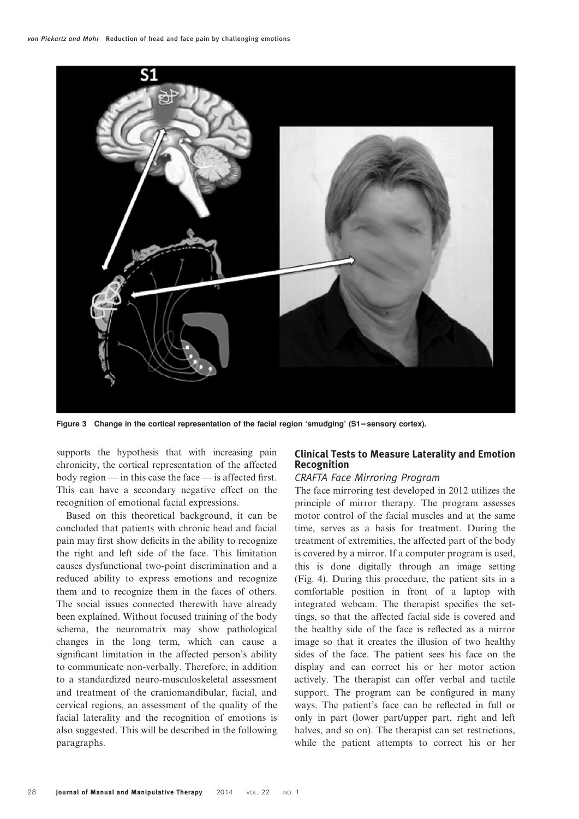

Figure 3 Change in the cortical representation of the facial region 'smudging' (S1=sensory cortex).

supports the hypothesis that with increasing pain chronicity, the cortical representation of the affected body region — in this case the face — is affected first. This can have a secondary negative effect on the recognition of emotional facial expressions.

Based on this theoretical background, it can be concluded that patients with chronic head and facial pain may first show deficits in the ability to recognize the right and left side of the face. This limitation causes dysfunctional two-point discrimination and a reduced ability to express emotions and recognize them and to recognize them in the faces of others. The social issues connected therewith have already been explained. Without focused training of the body schema, the neuromatrix may show pathological changes in the long term, which can cause a significant limitation in the affected person's ability to communicate non-verbally. Therefore, in addition to a standardized neuro-musculoskeletal assessment and treatment of the craniomandibular, facial, and cervical regions, an assessment of the quality of the facial laterality and the recognition of emotions is also suggested. This will be described in the following paragraphs.

# Clinical Tests to Measure Laterality and Emotion Recognition

### CRAFTA Face Mirroring Program

The face mirroring test developed in 2012 utilizes the principle of mirror therapy. The program assesses motor control of the facial muscles and at the same time, serves as a basis for treatment. During the treatment of extremities, the affected part of the body is covered by a mirror. If a computer program is used, this is done digitally through an image setting (Fig. 4). During this procedure, the patient sits in a comfortable position in front of a laptop with integrated webcam. The therapist specifies the settings, so that the affected facial side is covered and the healthy side of the face is reflected as a mirror image so that it creates the illusion of two healthy sides of the face. The patient sees his face on the display and can correct his or her motor action actively. The therapist can offer verbal and tactile support. The program can be configured in many ways. The patient's face can be reflected in full or only in part (lower part/upper part, right and left halves, and so on). The therapist can set restrictions, while the patient attempts to correct his or her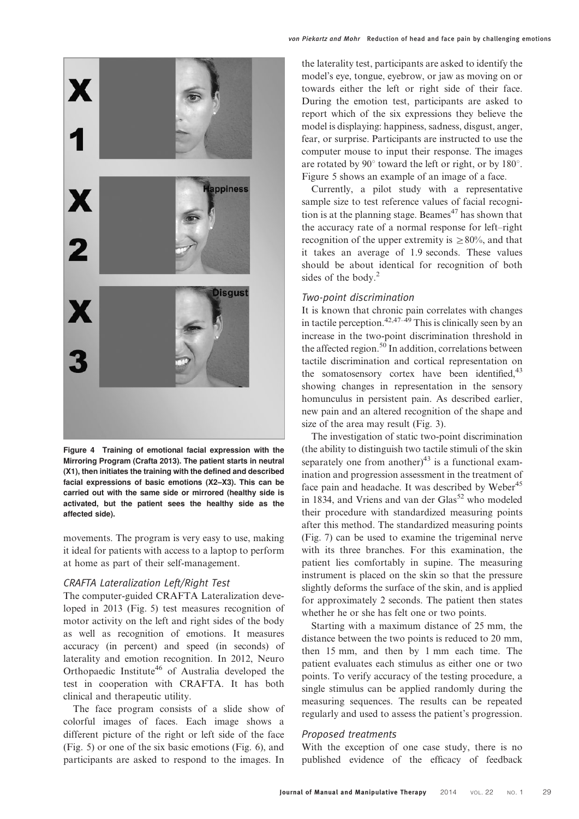

Figure 4 Training of emotional facial expression with the Mirroring Program (Crafta 2013). The patient starts in neutral (X1), then initiates the training with the defined and described facial expressions of basic emotions (X2–X3). This can be carried out with the same side or mirrored (healthy side is activated, but the patient sees the healthy side as the affected side).

movements. The program is very easy to use, making it ideal for patients with access to a laptop to perform at home as part of their self-management.

## CRAFTA Lateralization Left/Right Test

The computer-guided CRAFTA Lateralization developed in 2013 (Fig. 5) test measures recognition of motor activity on the left and right sides of the body as well as recognition of emotions. It measures accuracy (in percent) and speed (in seconds) of laterality and emotion recognition. In 2012, Neuro Orthopaedic Institute<sup>46</sup> of Australia developed the test in cooperation with CRAFTA. It has both clinical and therapeutic utility.

The face program consists of a slide show of colorful images of faces. Each image shows a different picture of the right or left side of the face (Fig. 5) or one of the six basic emotions (Fig. 6), and participants are asked to respond to the images. In

the laterality test, participants are asked to identify the model's eye, tongue, eyebrow, or jaw as moving on or towards either the left or right side of their face. During the emotion test, participants are asked to report which of the six expressions they believe the model is displaying: happiness, sadness, disgust, anger, fear, or surprise. Participants are instructed to use the computer mouse to input their response. The images are rotated by  $90^\circ$  toward the left or right, or by 180 $^\circ$ . Figure 5 shows an example of an image of a face.

Currently, a pilot study with a representative sample size to test reference values of facial recognition is at the planning stage. Beames<sup> $47$ </sup> has shown that the accuracy rate of a normal response for left–right recognition of the upper extremity is  $\geq 80\%$ , and that it takes an average of 1.9 seconds. These values should be about identical for recognition of both sides of the body.<sup>2</sup>

### Two-point discrimination

It is known that chronic pain correlates with changes in tactile perception.<sup>42,47–49</sup> This is clinically seen by an increase in the two-point discrimination threshold in the affected region.<sup>50</sup> In addition, correlations between tactile discrimination and cortical representation on the somatosensory cortex have been identified,  $43$ showing changes in representation in the sensory homunculus in persistent pain. As described earlier, new pain and an altered recognition of the shape and size of the area may result (Fig. 3).

The investigation of static two-point discrimination (the ability to distinguish two tactile stimuli of the skin separately one from another) $43$  is a functional examination and progression assessment in the treatment of face pain and headache. It was described by Weber<sup>45</sup> in 1834, and Vriens and van der Glas<sup>52</sup> who modeled their procedure with standardized measuring points after this method. The standardized measuring points (Fig. 7) can be used to examine the trigeminal nerve with its three branches. For this examination, the patient lies comfortably in supine. The measuring instrument is placed on the skin so that the pressure slightly deforms the surface of the skin, and is applied for approximately 2 seconds. The patient then states whether he or she has felt one or two points.

Starting with a maximum distance of 25 mm, the distance between the two points is reduced to 20 mm, then 15 mm, and then by 1 mm each time. The patient evaluates each stimulus as either one or two points. To verify accuracy of the testing procedure, a single stimulus can be applied randomly during the measuring sequences. The results can be repeated regularly and used to assess the patient's progression.

#### Proposed treatments

With the exception of one case study, there is no published evidence of the efficacy of feedback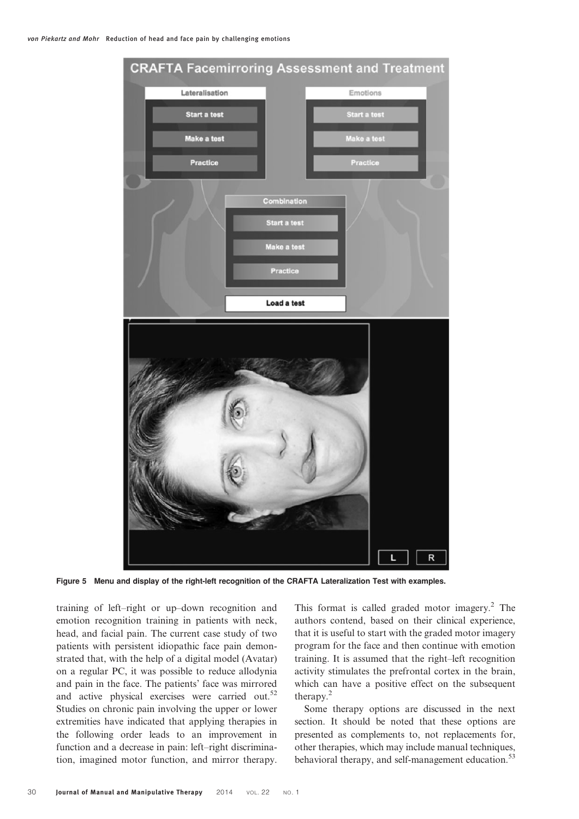

Figure 5 Menu and display of the right-left recognition of the CRAFTA Lateralization Test with examples.

training of left–right or up–down recognition and emotion recognition training in patients with neck, head, and facial pain. The current case study of two patients with persistent idiopathic face pain demonstrated that, with the help of a digital model (Avatar) on a regular PC, it was possible to reduce allodynia and pain in the face. The patients' face was mirrored and active physical exercises were carried out.<sup>52</sup> Studies on chronic pain involving the upper or lower extremities have indicated that applying therapies in the following order leads to an improvement in function and a decrease in pain: left–right discrimination, imagined motor function, and mirror therapy.

This format is called graded motor imagery. $^2$  The authors contend, based on their clinical experience, that it is useful to start with the graded motor imagery program for the face and then continue with emotion training. It is assumed that the right–left recognition activity stimulates the prefrontal cortex in the brain, which can have a positive effect on the subsequent therapy.<sup>2</sup>

Some therapy options are discussed in the next section. It should be noted that these options are presented as complements to, not replacements for, other therapies, which may include manual techniques, behavioral therapy, and self-management education.<sup>53</sup>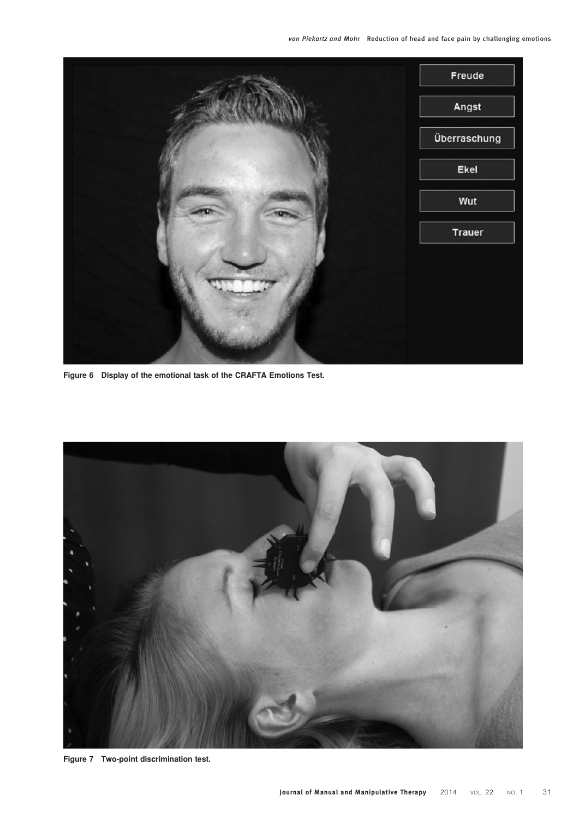

Figure 6 Display of the emotional task of the CRAFTA Emotions Test.



Figure 7 Two-point discrimination test.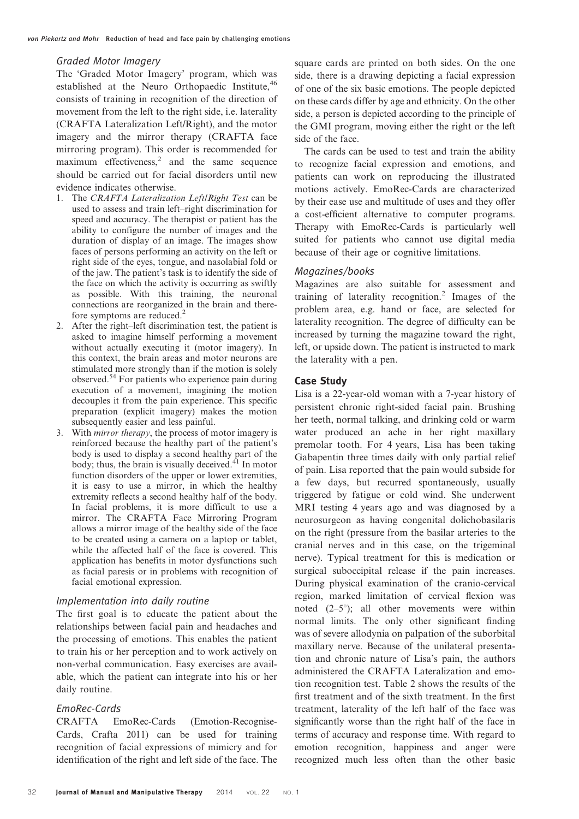#### Graded Motor Imagery

The 'Graded Motor Imagery' program, which was established at the Neuro Orthopaedic Institute, 46 consists of training in recognition of the direction of movement from the left to the right side, i.e. laterality (CRAFTA Lateralization Left/Right), and the motor imagery and the mirror therapy (CRAFTA face mirroring program). This order is recommended for maximum effectiveness, $\frac{2}{3}$  and the same sequence should be carried out for facial disorders until new evidence indicates otherwise.

- 1. The CRAFTA Lateralization Left/Right Test can be used to assess and train left–right discrimination for speed and accuracy. The therapist or patient has the ability to configure the number of images and the duration of display of an image. The images show faces of persons performing an activity on the left or right side of the eyes, tongue, and nasolabial fold or of the jaw. The patient's task is to identify the side of the face on which the activity is occurring as swiftly as possible. With this training, the neuronal connections are reorganized in the brain and therefore symptoms are reduced.<sup>2</sup>
- 2. After the right–left discrimination test, the patient is asked to imagine himself performing a movement without actually executing it (motor imagery). In this context, the brain areas and motor neurons are stimulated more strongly than if the motion is solely observed.<sup>54</sup> For patients who experience pain during execution of a movement, imagining the motion decouples it from the pain experience. This specific preparation (explicit imagery) makes the motion subsequently easier and less painful.
- 3. With mirror therapy, the process of motor imagery is reinforced because the healthy part of the patient's body is used to display a second healthy part of the body; thus, the brain is visually deceived. $^{41}$  In motor function disorders of the upper or lower extremities, it is easy to use a mirror, in which the healthy extremity reflects a second healthy half of the body. In facial problems, it is more difficult to use a mirror. The CRAFTA Face Mirroring Program allows a mirror image of the healthy side of the face to be created using a camera on a laptop or tablet, while the affected half of the face is covered. This application has benefits in motor dysfunctions such as facial paresis or in problems with recognition of facial emotional expression.

### Implementation into daily routine

The first goal is to educate the patient about the relationships between facial pain and headaches and the processing of emotions. This enables the patient to train his or her perception and to work actively on non-verbal communication. Easy exercises are available, which the patient can integrate into his or her daily routine.

#### EmoRec-Cards

CRAFTA EmoRec-Cards (Emotion-Recognise-Cards, Crafta 2011) can be used for training recognition of facial expressions of mimicry and for identification of the right and left side of the face. The

square cards are printed on both sides. On the one side, there is a drawing depicting a facial expression of one of the six basic emotions. The people depicted on these cards differ by age and ethnicity. On the other side, a person is depicted according to the principle of the GMI program, moving either the right or the left side of the face.

The cards can be used to test and train the ability to recognize facial expression and emotions, and patients can work on reproducing the illustrated motions actively. EmoRec-Cards are characterized by their ease use and multitude of uses and they offer a cost-efficient alternative to computer programs. Therapy with EmoRec-Cards is particularly well suited for patients who cannot use digital media because of their age or cognitive limitations.

#### Magazines/books

Magazines are also suitable for assessment and training of laterality recognition.<sup>2</sup> Images of the problem area, e.g. hand or face, are selected for laterality recognition. The degree of difficulty can be increased by turning the magazine toward the right, left, or upside down. The patient is instructed to mark the laterality with a pen.

#### Case Study

Lisa is a 22-year-old woman with a 7-year history of persistent chronic right-sided facial pain. Brushing her teeth, normal talking, and drinking cold or warm water produced an ache in her right maxillary premolar tooth. For 4 years, Lisa has been taking Gabapentin three times daily with only partial relief of pain. Lisa reported that the pain would subside for a few days, but recurred spontaneously, usually triggered by fatigue or cold wind. She underwent MRI testing 4 years ago and was diagnosed by a neurosurgeon as having congenital dolichobasilaris on the right (pressure from the basilar arteries to the cranial nerves and in this case, on the trigeminal nerve). Typical treatment for this is medication or surgical suboccipital release if the pain increases. During physical examination of the cranio-cervical region, marked limitation of cervical flexion was noted  $(2-5^{\circ})$ ; all other movements were within normal limits. The only other significant finding was of severe allodynia on palpation of the suborbital maxillary nerve. Because of the unilateral presentation and chronic nature of Lisa's pain, the authors administered the CRAFTA Lateralization and emotion recognition test. Table 2 shows the results of the first treatment and of the sixth treatment. In the first treatment, laterality of the left half of the face was significantly worse than the right half of the face in terms of accuracy and response time. With regard to emotion recognition, happiness and anger were recognized much less often than the other basic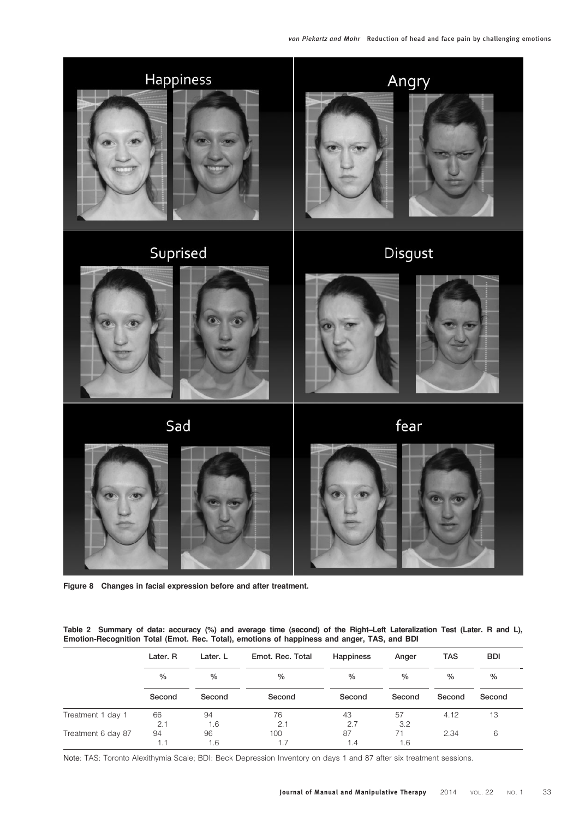

Figure 8 Changes in facial expression before and after treatment.

Table 2 Summary of data: accuracy (%) and average time (second) of the Right–Left Lateralization Test (Later. R and L), Emotion-Recognition Total (Emot. Rec. Total), emotions of happiness and anger, TAS, and BDI

|                    | Later. R<br>$\frac{0}{0}$<br>Second | Later. L<br>$\frac{0}{0}$<br>Second | Emot. Rec. Total<br>$\%$<br>Second | <b>Happiness</b><br>$\frac{0}{0}$<br>Second | Anger<br>$\%$<br>Second | <b>TAS</b><br>$\%$<br>Second | <b>BDI</b><br>$\%$<br>Second |
|--------------------|-------------------------------------|-------------------------------------|------------------------------------|---------------------------------------------|-------------------------|------------------------------|------------------------------|
|                    |                                     |                                     |                                    |                                             |                         |                              |                              |
|                    |                                     |                                     |                                    |                                             |                         |                              |                              |
| Treatment 1 day 1  | 66                                  | 94                                  | 76                                 | 43                                          | 57                      | 4.12                         | 13                           |
|                    | 2.1                                 | 1.6                                 | 2.1                                | 2.7                                         | 3.2                     |                              |                              |
| Treatment 6 day 87 | 94                                  | 96                                  | 100                                | 87                                          | 71                      | 2.34                         | 6                            |
|                    |                                     | 1.6                                 |                                    | 1.4                                         | 1.6                     |                              |                              |

Note: TAS: Toronto Alexithymia Scale; BDI: Beck Depression Inventory on days 1 and 87 after six treatment sessions.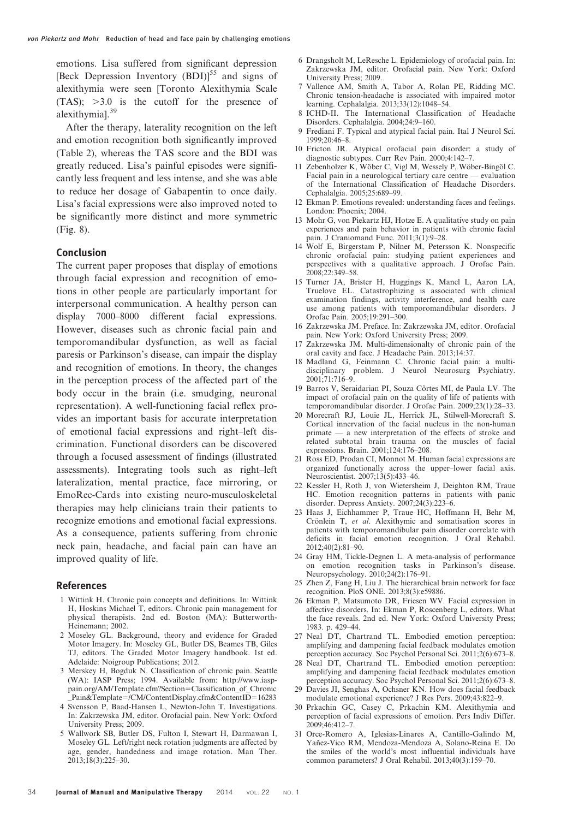emotions. Lisa suffered from significant depression [Beck Depression Inventory  $(BDI)$ ]<sup>55</sup> and signs of alexithymia were seen [Toronto Alexithymia Scale  $(TAS)$ ;  $>3.0$  is the cutoff for the presence of alexithymial.<sup>39</sup>

After the therapy, laterality recognition on the left and emotion recognition both significantly improved (Table 2), whereas the TAS score and the BDI was greatly reduced. Lisa's painful episodes were significantly less frequent and less intense, and she was able to reduce her dosage of Gabapentin to once daily. Lisa's facial expressions were also improved noted to be significantly more distinct and more symmetric (Fig. 8).

#### Conclusion

The current paper proposes that display of emotions through facial expression and recognition of emotions in other people are particularly important for interpersonal communication. A healthy person can display 7000–8000 different facial expressions. However, diseases such as chronic facial pain and temporomandibular dysfunction, as well as facial paresis or Parkinson's disease, can impair the display and recognition of emotions. In theory, the changes in the perception process of the affected part of the body occur in the brain (i.e. smudging, neuronal representation). A well-functioning facial reflex provides an important basis for accurate interpretation of emotional facial expressions and right–left discrimination. Functional disorders can be discovered through a focused assessment of findings (illustrated assessments). Integrating tools such as right–left lateralization, mental practice, face mirroring, or EmoRec-Cards into existing neuro-musculoskeletal therapies may help clinicians train their patients to recognize emotions and emotional facial expressions. As a consequence, patients suffering from chronic neck pain, headache, and facial pain can have an improved quality of life.

#### References

- 1 Wittink H. Chronic pain concepts and definitions. In: Wittink H, Hoskins Michael T, editors. Chronic pain management for physical therapists. 2nd ed. Boston (MA): Butterworth-Heinemann; 2002.
- 2 Moseley GL. Background, theory and evidence for Graded Motor Imagery. In: Moseley GL, Butler DS, Beames TB, Giles TJ, editors. The Graded Motor Imagery handbook. 1st ed. Adelaide: Noigroup Publications; 2012.
- 3 Merskey H, Bogduk N. Classification of chronic pain. Seattle (WA): IASP Press; 1994. Available from: http://www.iasppain.org/AM/Template.cfm?Section=Classification\_of\_Chronic \_Pain&Template5/CM/ContentDisplay.cfm&ContentID516283
- 4 Svensson P, Baad-Hansen L, Newton-John T. Investigations. In: Zakrzewska JM, editor. Orofacial pain. New York: Oxford University Press; 2009.
- 5 Wallwork SB, Butler DS, Fulton I, Stewart H, Darmawan I, Moseley GL. Left/right neck rotation judgments are affected by age, gender, handedness and image rotation. Man Ther. 2013;18(3):225–30.
- 6 Drangsholt M, LeResche L. Epidemiology of orofacial pain. In: Zakrzewska JM, editor. Orofacial pain. New York: Oxford University Press; 2009.
- 7 Vallence AM, Smith A, Tabor A, Rolan PE, Ridding MC. Chronic tension-headache is associated with impaired motor learning. Cephalalgia. 2013;33(12):1048–54.
- 8 ICHD-II. The International Classification of Headache Disorders. Cephalalgia. 2004;24:9–160.
- 9 Frediani F. Typical and atypical facial pain. Ital J Neurol Sci. 1999;20:46–8.
- 10 Fricton JR. Atypical orofacial pain disorder: a study of diagnostic subtypes. Curr Rev Pain. 2000;4:142–7.
- 11 Zebenholzer K, Wöber C, Vigl M, Wessely P, Wöber-Bingöl C. Facial pain in a neurological tertiary care centre — evaluation of the International Classification of Headache Disorders. Cephalalgia. 2005;25:689–99.
- 12 Ekman P. Emotions revealed: understanding faces and feelings. London: Phoenix; 2004.
- 13 Mohr G, von Piekartz HJ, Hotze E. A qualitative study on pain experiences and pain behavior in patients with chronic facial pain. J Craniomand Func.  $2011;3(1):9-28$ .
- 14 Wolf E, Birgerstam P, Nilner M, Petersson K. Nonspecific chronic orofacial pain: studying patient experiences and perspectives with a qualitative approach. J Orofac Pain.  $2008:22:349-58$ .
- 15 Turner JA, Brister H, Huggings K, Mancl L, Aaron LA, Truelove EL. Catastrophizing is associated with clinical examination findings, activity interference, and health care use among patients with temporomandibular disorders. J Orofac Pain. 2005;19:291–300.
- 16 Zakrzewska JM. Preface. In: Zakrzewska JM, editor. Orofacial pain. New York: Oxford University Press; 2009.
- Zakrzewska JM. Multi-dimensionalty of chronic pain of the oral cavity and face. J Headache Pain. 2013;14:37.
- 18 Madland G, Feinmann C. Chronic facial pain: a multidisciplinary problem. J Neurol Neurosurg Psychiatry. 2001;71:716–9.
- 19 Barros V, Seraidarian PI, Souza Côrtes MI, de Paula LV. The impact of orofacial pain on the quality of life of patients with temporomandibular disorder. J Orofac Pain. 2009;23(1):28–33.
- 20 Morecraft RJ, Louie JL, Herrick JL, Stilwell-Morecraft S. Cortical innervation of the facial nucleus in the non-human primate — a new interpretation of the effects of stroke and related subtotal brain trauma on the muscles of facial expressions. Brain. 2001;124:176–208.
- 21 Ross ED, Prodan CI, Monnot M. Human facial expressions are organized functionally across the upper–lower facial axis. Neuroscientist. 2007;13(5):433–46.
- 22 Kessler H, Roth J, von Wietersheim J, Deighton RM, Traue HC. Emotion recognition patterns in patients with panic disorder. Depress Anxiety. 2007;24(3):223–6.
- 23 Haas J, Eichhammer P, Traue HC, Hoffmann H, Behr M, Crönlein T, et al. Alexithymic and somatisation scores in patients with temporomandibular pain disorder correlate with deficits in facial emotion recognition. J Oral Rehabil. 2012;40(2):81–90.
- 24 Gray HM, Tickle-Degnen L. A meta-analysis of performance on emotion recognition tasks in Parkinson's disease. Neuropsychology. 2010;24(2):176–91.
- 25 Zhen Z, Fang H, Liu J. The hierarchical brain network for face recognition. PloS ONE. 2013;8(3):e59886.
- 26 Ekman P, Matsumoto DR, Friesen WV. Facial expression in affective disorders. In: Ekman P, Roscenberg L, editors. What the face reveals. 2nd ed. New York: Oxford University Press; 1983. p. 429–44.
- 27 Neal DT, Chartrand TL. Embodied emotion perception: amplifying and dampening facial feedback modulates emotion perception accuracy. Soc Psychol Personal Sci. 2011;2(6):673–8.
- 28 Neal DT, Chartrand TL. Embodied emotion perception: amplifying and dampening facial feedback modulates emotion perception accuracy. Soc Psychol Personal Sci. 2011;2(6):673–8.
- 29 Davies JI, Senghas A, Ochsner KN. How does facial feedback modulate emotional experience? J Res Pers. 2009;43:822–9.
- 30 Prkachin GC, Casey C, Prkachin KM. Alexithymia and perception of facial expressions of emotion. Pers Indiv Differ. 2009;46:412–7.
- 31 Orce-Romero A, Iglesias-Linares A, Cantillo-Galindo M, Yañez-Vico RM, Mendoza-Mendoza A, Solano-Reina E. Do the smiles of the world's most influential individuals have common parameters? J Oral Rehabil. 2013;40(3):159–70.